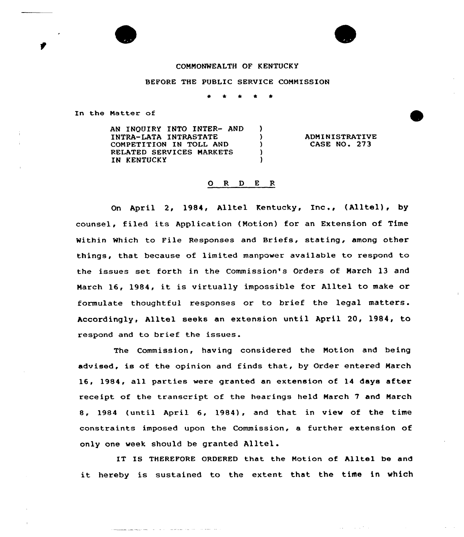## COMMONWEALTH OF KENTUCKY

## BEFORE THE PUBLIC SERVICE CONNISSION

 $\lambda$  $\lambda$  $\lambda$  $\lambda$  $\lambda$ 

In the Natter of

AN INQUIRY INTO INTER- AND INTRA-LATA INTRASTATE COMPETITION IN TOLL AND RELATED SERVICES MARKETS IN KENTUCKY

المرابط والمرتب المتعدد والانتزال المرابطين

ADMINISTRATIVE **CASE NO. 273** 

## 0 <sup>R</sup> <sup>D</sup> E <sup>R</sup>

On April 2, 1984, Alltel Kentucky, Inc., (Alltel), by counsel, filed its Application (Motion) for an Extension of Time Within Which to File Responses and Briefs, stating, among other things, that because of limited manpower available to respond to the issues set forth in the Commission's Orders of March 13 and March 16, 1984, it is virtually impossible for Alltel to make or formulate thoughtful responses or to brief the legal matters. Accordingly, Alltel seeks an extension until April 20, 1984, to respond and to brief the issues.

The Commission, having considered the Motion and being advised, is of the opinion and finds that, by Order entered March 16, 1984, all parties were granted an extension of 14 days after receipt of the transcript of the hearings held March 7 and March 8, 1984 (until April 6, 1984), and that in view of the time constraints imposed upon the Commission, a further extension of only one week should be granted Alltel.

IT IS THEREFORE ORDERED that the Notion of Alltel be and it hereby is sustained to the extent that the time in which